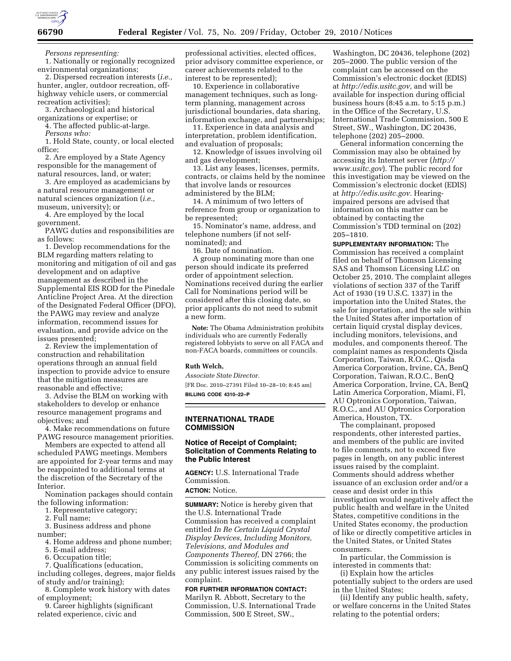

*Persons representing:* 

1. Nationally or regionally recognized environmental organizations;

2. Dispersed recreation interests (*i.e.,*  hunter, angler, outdoor recreation, offhighway vehicle users, or commercial recreation activities);

3. Archaeological and historical organizations or expertise; or

4. The affected public-at-large.

*Persons who:* 

1. Hold State, county, or local elected office;

2. Are employed by a State Agency responsible for the management of natural resources, land, or water;

3. Are employed as academicians by a natural resource management or natural sciences organization (*i.e.,*  museum, university); or

4. Are employed by the local government.

PAWG duties and responsibilities are as follows:

1. Develop recommendations for the BLM regarding matters relating to monitoring and mitigation of oil and gas development and on adaptive management as described in the Supplemental EIS ROD for the Pinedale Anticline Project Area. At the direction of the Designated Federal Officer (DFO), the PAWG may review and analyze information, recommend issues for evaluation, and provide advice on the issues presented;

2. Review the implementation of construction and rehabilitation operations through an annual field inspection to provide advice to ensure that the mitigation measures are reasonable and effective;

3. Advise the BLM on working with stakeholders to develop or enhance resource management programs and objectives; and

4. Make recommendations on future PAWG resource management priorities.

Members are expected to attend all scheduled PAWG meetings. Members are appointed for 2-year terms and may be reappointed to additional terms at the discretion of the Secretary of the Interior.

Nomination packages should contain the following information:

1. Representative category;

2. Full name;

3. Business address and phone number;

4. Home address and phone number;

5. E-mail address;

6. Occupation title;

7. Qualifications (education,

including colleges, degrees, major fields of study and/or training);

8. Complete work history with dates of employment;

9. Career highlights (significant related experience, civic and

professional activities, elected offices, prior advisory committee experience, or career achievements related to the interest to be represented);

10. Experience in collaborative management techniques, such as longterm planning, management across jurisdictional boundaries, data sharing, information exchange, and partnerships;

11. Experience in data analysis and interpretation, problem identification, and evaluation of proposals;

12. Knowledge of issues involving oil and gas development;

13. List any leases, licenses, permits, contracts, or claims held by the nominee that involve lands or resources administered by the BLM;

14. A minimum of two letters of reference from group or organization to be represented;

15. Nominator's name, address, and telephone numbers (if not selfnominated); and

16. Date of nomination.

A group nominating more than one person should indicate its preferred order of appointment selection. Nominations received during the earlier Call for Nominations period will be considered after this closing date, so prior applicants do not need to submit a new form.

**Note:** The Obama Administration prohibits individuals who are currently Federally registered lobbyists to serve on all FACA and non-FACA boards, committees or councils.

#### **Ruth Welch,**

*Associate State Director.*  [FR Doc. 2010–27391 Filed 10–28–10; 8:45 am]

**BILLING CODE 4310–22–P** 

## **INTERNATIONAL TRADE COMMISSION**

#### **Notice of Receipt of Complaint; Solicitation of Comments Relating to the Public Interest**

**AGENCY:** U.S. International Trade Commission.

**ACTION:** Notice.

**SUMMARY:** Notice is hereby given that the U.S. International Trade Commission has received a complaint entitled *In Re Certain Liquid Crystal Display Devices, Including Monitors, Televisions, and Modules and Components Thereof,* DN 2766; the Commission is soliciting comments on any public interest issues raised by the complaint.

## **FOR FURTHER INFORMATION CONTACT:**

Marilyn R. Abbott, Secretary to the Commission, U.S. International Trade Commission, 500 E Street, SW.,

Washington, DC 20436, telephone (202) 205–2000. The public version of the complaint can be accessed on the Commission's electronic docket (EDIS) at *[http://edis.usitc.gov,](http://edis.usitc.gov)* and will be available for inspection during official business hours (8:45 a.m. to 5:15 p.m.) in the Office of the Secretary, U.S. International Trade Commission, 500 E Street, SW., Washington, DC 20436, telephone (202) 205–2000.

General information concerning the Commission may also be obtained by accessing its Internet server (*[http://](http://www.usitc.gov)  [www.usitc.gov](http://www.usitc.gov)*). The public record for this investigation may be viewed on the Commission's electronic docket (EDIS) at *[http://edis.usitc.gov.](http://edis.usitc.gov)* Hearingimpaired persons are advised that information on this matter can be obtained by contacting the Commission's TDD terminal on (202) 205–1810.

**SUPPLEMENTARY INFORMATION:** The Commission has received a complaint filed on behalf of Thomson Licensing SAS and Thomson Licensing LLC on October 25, 2010. The complaint alleges violations of section 337 of the Tariff Act of 1930 (19 U.S.C. 1337) in the importation into the United States, the sale for importation, and the sale within the United States after importation of certain liquid crystal display devices, including monitors, televisions, and modules, and components thereof. The complaint names as respondents Qisda Corporation, Taiwan, R.O.C., Qisda America Corporation, Irvine, CA, BenQ Corporation, Taiwan, R.O.C., BenQ America Corporation, Irvine, CA, BenQ Latin America Corporation, Miami, Fl, AU Optronics Corporation, Taiwan, R.O.C., and AU Optronics Corporation America, Houston, TX.

The complainant, proposed respondents, other interested parties, and members of the public are invited to file comments, not to exceed five pages in length, on any public interest issues raised by the complaint. Comments should address whether issuance of an exclusion order and/or a cease and desist order in this investigation would negatively affect the public health and welfare in the United States, competitive conditions in the United States economy, the production of like or directly competitive articles in the United States, or United States consumers.

In particular, the Commission is interested in comments that:

(i) Explain how the articles potentially subject to the orders are used

in the United States; (ii) Identify any public health, safety, or welfare concerns in the United States relating to the potential orders;